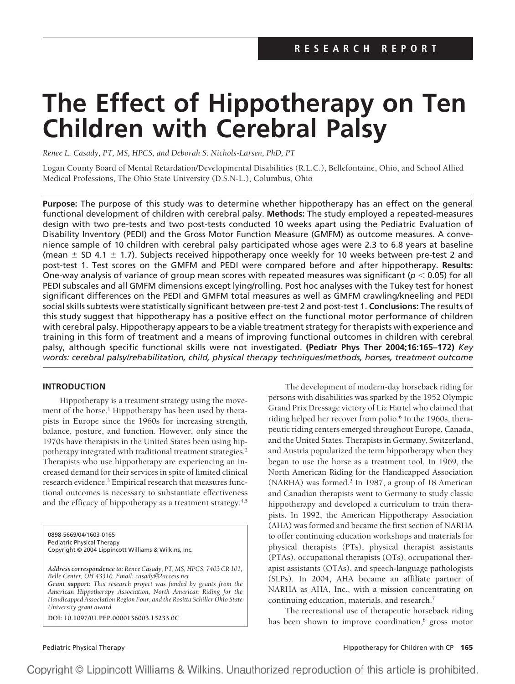# **The Effect of Hippotherapy on Ten Children with Cerebral Palsy**

*Renee L. Casady, PT, MS, HPCS, and Deborah S. Nichols-Larsen, PhD, PT*

Logan County Board of Mental Retardation/Developmental Disabilities (R.L.C.), Bellefontaine, Ohio, and School Allied Medical Professions, The Ohio State University (D.S.N-L.), Columbus, Ohio

**Purpose:** The purpose of this study was to determine whether hippotherapy has an effect on the general functional development of children with cerebral palsy. **Methods:** The study employed a repeated-measures design with two pre-tests and two post-tests conducted 10 weeks apart using the Pediatric Evaluation of Disability Inventory (PEDI) and the Gross Motor Function Measure (GMFM) as outcome measures. A convenience sample of 10 children with cerebral palsy participated whose ages were 2.3 to 6.8 years at baseline (mean  $\pm$  SD 4.1  $\pm$  1.7). Subjects received hippotherapy once weekly for 10 weeks between pre-test 2 and post-test 1. Test scores on the GMFM and PEDI were compared before and after hippotherapy. **Results:** One-way analysis of variance of group mean scores with repeated measures was significant ( $p < 0.05$ ) for all PEDI subscales and all GMFM dimensions except lying/rolling. Post hoc analyses with the Tukey test for honest significant differences on the PEDI and GMFM total measures as well as GMFM crawling/kneeling and PEDI social skills subtests were statistically significant between pre-test 2 and post-test 1. **Conclusions:** The results of this study suggest that hippotherapy has a positive effect on the functional motor performance of children with cerebral palsy. Hippotherapy appears to be a viable treatment strategy for therapists with experience and training in this form of treatment and a means of improving functional outcomes in children with cerebral palsy, although specific functional skills were not investigated. **(Pediatr Phys Ther 2004;16:165–172)** *Key words: cerebral palsy/rehabilitation, child, physical therapy techniques/methods, horses, treatment outcome*

# **INTRODUCTION**

Hippotherapy is a treatment strategy using the movement of the horse.<sup>1</sup> Hippotherapy has been used by therapists in Europe since the 1960s for increasing strength, balance, posture, and function. However, only since the 1970s have therapists in the United States been using hippotherapy integrated with traditional treatment strategies.<sup>2</sup> Therapists who use hippotherapy are experiencing an increased demand for their services in spite of limited clinical research evidence.<sup>3</sup> Empirical research that measures functional outcomes is necessary to substantiate effectiveness and the efficacy of hippotherapy as a treatment strategy.<sup>4,5</sup>

0898-5669/04/1603-0165 Pediatric Physical Therapy Copyright © 2004 Lippincott Williams & Wilkins, Inc.

*Address correspondence to: Renee Casady, PT, MS, HPCS, 7403 CR 101, Belle Center, OH 43310. Email: casady@2access.net Grant support: This research project was funded by grants from the*

*American Hippotherapy Association, North American Riding for the Handicapped Association Region Four, and the Rositta Schiller Ohio State University grant award.*

**DOI: 10.1097/01.PEP.0000136003.15233.0C**

The development of modern-day horseback riding for persons with disabilities was sparked by the 1952 Olympic Grand Prix Dressage victory of Liz Hartel who claimed that riding helped her recover from polio.<sup>6</sup> In the 1960s, therapeutic riding centers emerged throughout Europe, Canada, and the United States. Therapists in Germany, Switzerland, and Austria popularized the term hippotherapy when they began to use the horse as a treatment tool. In 1969, the North American Riding for the Handicapped Association (NARHA) was formed.<sup>2</sup> In 1987, a group of 18 American and Canadian therapists went to Germany to study classic hippotherapy and developed a curriculum to train therapists. In 1992, the American Hippotherapy Association (AHA) was formed and became the first section of NARHA to offer continuing education workshops and materials for physical therapists (PTs), physical therapist assistants (PTAs), occupational therapists (OTs), occupational therapist assistants (OTAs), and speech-language pathologists (SLPs). In 2004, AHA became an affiliate partner of NARHA as AHA, Inc., with a mission concentrating on continuing education, materials, and research.7

The recreational use of therapeutic horseback riding has been shown to improve coordination,<sup>8</sup> gross motor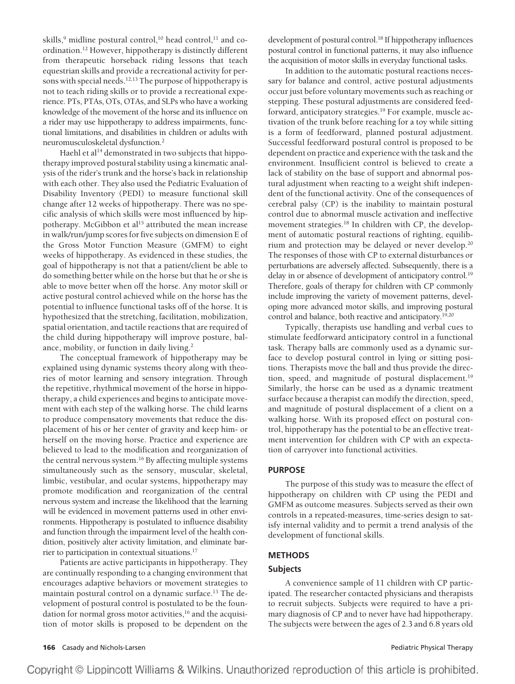skills,<sup>9</sup> midline postural control,<sup>10</sup> head control,<sup>11</sup> and coordination.12 However, hippotherapy is distinctly different from therapeutic horseback riding lessons that teach equestrian skills and provide a recreational activity for persons with special needs.12,13 The purpose of hippotherapy is not to teach riding skills or to provide a recreational experience. PTs, PTAs, OTs, OTAs, and SLPs who have a working knowledge of the movement of the horse and its influence on a rider may use hippotherapy to address impairments, functional limitations, and disabilities in children or adults with neuromusculoskeletal dysfunction.2

Haehl et al<sup>14</sup> demonstrated in two subjects that hippotherapy improved postural stability using a kinematic analysis of the rider's trunk and the horse's back in relationship with each other. They also used the Pediatric Evaluation of Disability Inventory (PEDI) to measure functional skill change after 12 weeks of hippotherapy. There was no specific analysis of which skills were most influenced by hippotherapy. McGibbon et al<sup>15</sup> attributed the mean increase in walk/run/jump scores for five subjects on dimension E of the Gross Motor Function Measure (GMFM) to eight weeks of hippotherapy. As evidenced in these studies, the goal of hippotherapy is not that a patient/client be able to do something better while on the horse but that he or she is able to move better when off the horse. Any motor skill or active postural control achieved while on the horse has the potential to influence functional tasks off of the horse. It is hypothesized that the stretching, facilitation, mobilization, spatial orientation, and tactile reactions that are required of the child during hippotherapy will improve posture, balance, mobility, or function in daily living.2

The conceptual framework of hippotherapy may be explained using dynamic systems theory along with theories of motor learning and sensory integration. Through the repetitive, rhythmical movement of the horse in hippotherapy, a child experiences and begins to anticipate movement with each step of the walking horse. The child learns to produce compensatory movements that reduce the displacement of his or her center of gravity and keep him- or herself on the moving horse. Practice and experience are believed to lead to the modification and reorganization of the central nervous system.<sup>16</sup> By affecting multiple systems simultaneously such as the sensory, muscular, skeletal, limbic, vestibular, and ocular systems, hippotherapy may promote modification and reorganization of the central nervous system and increase the likelihood that the learning will be evidenced in movement patterns used in other environments. Hippotherapy is postulated to influence disability and function through the impairment level of the health condition, positively alter activity limitation, and eliminate barrier to participation in contextual situations.17

Patients are active participants in hippotherapy. They are continually responding to a changing environment that encourages adaptive behaviors or movement strategies to maintain postural control on a dynamic surface.<sup>13</sup> The development of postural control is postulated to be the foundation for normal gross motor activities,<sup>16</sup> and the acquisition of motor skills is proposed to be dependent on the development of postural control.<sup>18</sup> If hippotherapy influences postural control in functional patterns, it may also influence the acquisition of motor skills in everyday functional tasks.

In addition to the automatic postural reactions necessary for balance and control, active postural adjustments occur just before voluntary movements such as reaching or stepping. These postural adjustments are considered feedforward, anticipatory strategies.<sup>19</sup> For example, muscle activation of the trunk before reaching for a toy while sitting is a form of feedforward, planned postural adjustment. Successful feedforward postural control is proposed to be dependent on practice and experience with the task and the environment. Insufficient control is believed to create a lack of stability on the base of support and abnormal postural adjustment when reacting to a weight shift independent of the functional activity. One of the consequences of cerebral palsy (CP) is the inability to maintain postural control due to abnormal muscle activation and ineffective movement strategies.<sup>18</sup> In children with CP, the development of automatic postural reactions of righting, equilibrium and protection may be delayed or never develop.20 The responses of those with CP to external disturbances or perturbations are adversely affected. Subsequently, there is a delay in or absence of development of anticipatory control.<sup>19</sup> Therefore, goals of therapy for children with CP commonly include improving the variety of movement patterns, developing more advanced motor skills, and improving postural control and balance, both reactive and anticipatory.<sup>19,20</sup>

Typically, therapists use handling and verbal cues to stimulate feedforward anticipatory control in a functional task. Therapy balls are commonly used as a dynamic surface to develop postural control in lying or sitting positions. Therapists move the ball and thus provide the direction, speed, and magnitude of postural displacement.<sup>19</sup> Similarly, the horse can be used as a dynamic treatment surface because a therapist can modify the direction, speed, and magnitude of postural displacement of a client on a walking horse. With its proposed effect on postural control, hippotherapy has the potential to be an effective treatment intervention for children with CP with an expectation of carryover into functional activities.

#### **PURPOSE**

The purpose of this study was to measure the effect of hippotherapy on children with CP using the PEDI and GMFM as outcome measures. Subjects served as their own controls in a repeated-measures, time-series design to satisfy internal validity and to permit a trend analysis of the development of functional skills.

# **METHODS**

# **Subjects**

A convenience sample of 11 children with CP participated. The researcher contacted physicians and therapists to recruit subjects. Subjects were required to have a primary diagnosis of CP and to never have had hippotherapy. The subjects were between the ages of 2.3 and 6.8 years old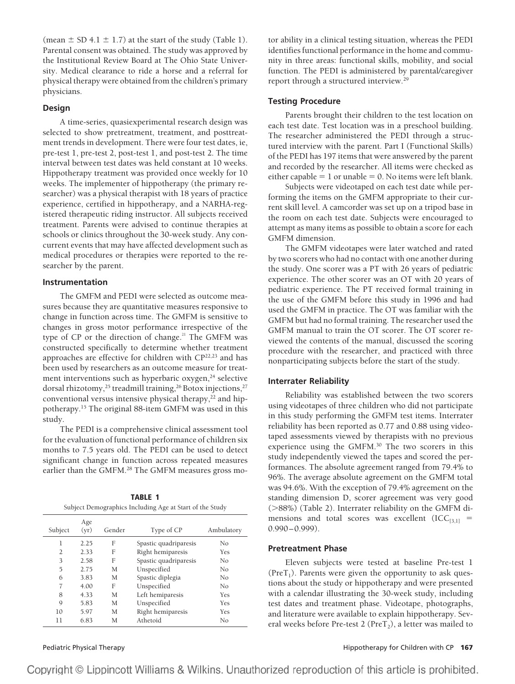(mean  $\pm$  SD 4.1  $\pm$  1.7) at the start of the study (Table 1). Parental consent was obtained. The study was approved by the Institutional Review Board at The Ohio State University. Medical clearance to ride a horse and a referral for physical therapy were obtained from the children's primary physicians.

### **Design**

A time-series, quasiexperimental research design was selected to show pretreatment, treatment, and posttreatment trends in development. There were four test dates, ie, pre-test 1, pre-test 2, post-test 1, and post-test 2. The time interval between test dates was held constant at 10 weeks. Hippotherapy treatment was provided once weekly for 10 weeks. The implementer of hippotherapy (the primary researcher) was a physical therapist with 18 years of practice experience, certified in hippotherapy, and a NARHA-registered therapeutic riding instructor. All subjects received treatment. Parents were advised to continue therapies at schools or clinics throughout the 30-week study. Any concurrent events that may have affected development such as medical procedures or therapies were reported to the researcher by the parent.

## **Instrumentation**

The GMFM and PEDI were selected as outcome measures because they are quantitative measures responsive to change in function across time. The GMFM is sensitive to changes in gross motor performance irrespective of the type of CP or the direction of change. $21$  The GMFM was constructed specifically to determine whether treatment approaches are effective for children with CP<sup>22,23</sup> and has been used by researchers as an outcome measure for treatment interventions such as hyperbaric oxygen,<sup>24</sup> selective dorsal rhizotomy,<sup>25</sup> treadmill training,<sup>26</sup> Botox injections,<sup>27</sup> conventional versus intensive physical therapy, $22$  and hippotherapy.15 The original 88-item GMFM was used in this study.

The PEDI is a comprehensive clinical assessment tool for the evaluation of functional performance of children six months to 7.5 years old. The PEDI can be used to detect significant change in function across repeated measures earlier than the GMFM.<sup>28</sup> The GMFM measures gross mo-

| <b>TABLE 1</b>                                           |
|----------------------------------------------------------|
| Subject Demographics Including Age at Start of the Study |

| Subject | Age<br>(yr) | Gender | Type of CP            | Ambulatory |
|---------|-------------|--------|-----------------------|------------|
| 1       | 2.25        | F      | Spastic quadriparesis | No         |
| 2       | 2.33        | F      | Right hemiparesis     | Yes        |
| 3       | 2.58        | F      | Spastic quadriparesis | No         |
| 5       | 2.75        | M      | Unspecified           | No         |
| 6       | 3.83        | M      | Spastic diplegia      | No         |
| 7       | 4.00        | F      | Unspecified           | No         |
| 8       | 4.33        | M      | Left hemiparesis      | Yes        |
| 9       | 5.83        | M      | Unspecified           | Yes        |
| 10      | 5.97        | M      | Right hemiparesis     | Yes        |
| 11      | 6.83        | M      | Athetoid              | Nο         |

tor ability in a clinical testing situation, whereas the PEDI identifies functional performance in the home and community in three areas: functional skills, mobility, and social function. The PEDI is administered by parental/caregiver report through a structured interview.29

#### **Testing Procedure**

Parents brought their children to the test location on each test date. Test location was in a preschool building. The researcher administered the PEDI through a structured interview with the parent. Part I (Functional Skills) of the PEDI has 197 items that were answered by the parent and recorded by the researcher. All items were checked as either capable  $= 1$  or unable  $= 0$ . No items were left blank.

Subjects were videotaped on each test date while performing the items on the GMFM appropriate to their current skill level. A camcorder was set up on a tripod base in the room on each test date. Subjects were encouraged to attempt as many items as possible to obtain a score for each GMFM dimension.

The GMFM videotapes were later watched and rated by two scorers who had no contact with one another during the study. One scorer was a PT with 26 years of pediatric experience. The other scorer was an OT with 20 years of pediatric experience. The PT received formal training in the use of the GMFM before this study in 1996 and had used the GMFM in practice. The OT was familiar with the GMFM but had no formal training. The researcher used the GMFM manual to train the OT scorer. The OT scorer reviewed the contents of the manual, discussed the scoring procedure with the researcher, and practiced with three nonparticipating subjects before the start of the study.

#### **Interrater Reliability**

Reliability was established between the two scorers using videotapes of three children who did not participate in this study performing the GMFM test items. Interrater reliability has been reported as 0.77 and 0.88 using videotaped assessments viewed by therapists with no previous experience using the GMFM.30 The two scorers in this study independently viewed the tapes and scored the performances. The absolute agreement ranged from 79.4% to 96%. The average absolute agreement on the GMFM total was 94.6%. With the exception of 79.4% agreement on the standing dimension D, scorer agreement was very good (>88%) (Table 2). Interrater reliability on the GMFM dimensions and total scores was excellent  $(ICC_{[3,1]}=$  $0.990 - 0.999$ ).

#### **Pretreatment Phase**

Eleven subjects were tested at baseline Pre-test 1 (Pre $T_1$ ). Parents were given the opportunity to ask questions about the study or hippotherapy and were presented with a calendar illustrating the 30-week study, including test dates and treatment phase. Videotape, photographs, and literature were available to explain hippotherapy. Several weeks before Pre-test 2 (Pre $T_2$ ), a letter was mailed to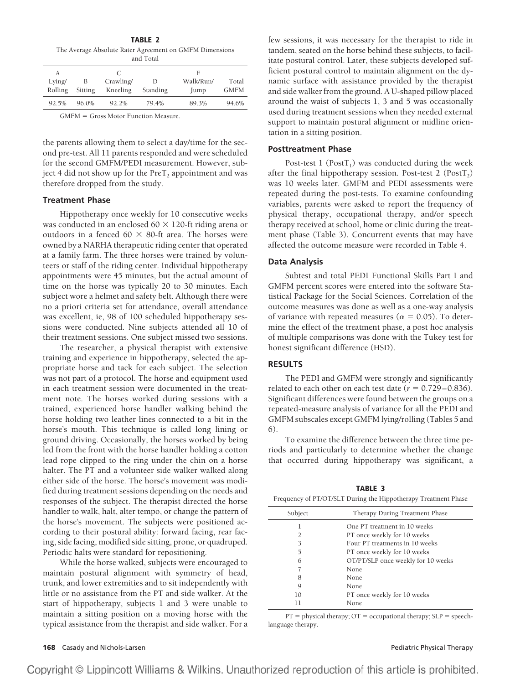**TABLE 2** The Average Absolute Rater Agreement on GMFM Dimensions and Total

| А                           |         |           |          | F         |             |
|-----------------------------|---------|-----------|----------|-----------|-------------|
| Lying/                      | В       | Crawling/ |          | Walk/Run/ | Total       |
| Rolling                     | Sitting | Kneeling  | Standing | Jump      | <b>GMFM</b> |
| 92.5%                       | 96.0%   | 92.2%     | 79.4%    | 89.3%     | 94.6%       |
| $\sim$ $\sim$ $\sim$ $\sim$ | $\sim$  | .         |          |           |             |

GMFM = Gross Motor Function Measure.

the parents allowing them to select a day/time for the second pre-test. All 11 parents responded and were scheduled for the second GMFM/PEDI measurement. However, subject 4 did not show up for the  $PreT<sub>2</sub>$  appointment and was therefore dropped from the study.

#### **Treatment Phase**

Hippotherapy once weekly for 10 consecutive weeks was conducted in an enclosed 60  $\times$  120-ft riding arena or outdoors in a fenced 60  $\times$  80-ft area. The horses were owned by a NARHA therapeutic riding center that operated at a family farm. The three horses were trained by volunteers or staff of the riding center. Individual hippotherapy appointments were 45 minutes, but the actual amount of time on the horse was typically 20 to 30 minutes. Each subject wore a helmet and safety belt. Although there were no a priori criteria set for attendance, overall attendance was excellent, ie, 98 of 100 scheduled hippotherapy sessions were conducted. Nine subjects attended all 10 of their treatment sessions. One subject missed two sessions.

The researcher, a physical therapist with extensive training and experience in hippotherapy, selected the appropriate horse and tack for each subject. The selection was not part of a protocol. The horse and equipment used in each treatment session were documented in the treatment note. The horses worked during sessions with a trained, experienced horse handler walking behind the horse holding two leather lines connected to a bit in the horse's mouth. This technique is called long lining or ground driving. Occasionally, the horses worked by being led from the front with the horse handler holding a cotton lead rope clipped to the ring under the chin on a horse halter. The PT and a volunteer side walker walked along either side of the horse. The horse's movement was modified during treatment sessions depending on the needs and responses of the subject. The therapist directed the horse handler to walk, halt, alter tempo, or change the pattern of the horse's movement. The subjects were positioned according to their postural ability: forward facing, rear facing, side facing, modified side sitting, prone, or quadruped. Periodic halts were standard for repositioning.

While the horse walked, subjects were encouraged to maintain postural alignment with symmetry of head, trunk, and lower extremities and to sit independently with little or no assistance from the PT and side walker. At the start of hippotherapy, subjects 1 and 3 were unable to maintain a sitting position on a moving horse with the typical assistance from the therapist and side walker. For a

few sessions, it was necessary for the therapist to ride in tandem, seated on the horse behind these subjects, to facilitate postural control. Later, these subjects developed sufficient postural control to maintain alignment on the dynamic surface with assistance provided by the therapist and side walker from the ground. A U-shaped pillow placed around the waist of subjects 1, 3 and 5 was occasionally used during treatment sessions when they needed external support to maintain postural alignment or midline orientation in a sitting position.

# **Posttreatment Phase**

Post-test  $1$  (Post $T_1$ ) was conducted during the week after the final hippotherapy session. Post-test 2 (Post $T_2$ ) was 10 weeks later. GMFM and PEDI assessments were repeated during the post-tests. To examine confounding variables, parents were asked to report the frequency of physical therapy, occupational therapy, and/or speech therapy received at school, home or clinic during the treatment phase (Table 3). Concurrent events that may have affected the outcome measure were recorded in Table 4.

#### **Data Analysis**

Subtest and total PEDI Functional Skills Part I and GMFM percent scores were entered into the software Statistical Package for the Social Sciences. Correlation of the outcome measures was done as well as a one-way analysis of variance with repeated measures ( $\alpha = 0.05$ ). To determine the effect of the treatment phase, a post hoc analysis of multiple comparisons was done with the Tukey test for honest significant difference (HSD).

#### **RESULTS**

The PEDI and GMFM were strongly and significantly related to each other on each test date ( $r = 0.729 - 0.836$ ). Significant differences were found between the groups on a repeated-measure analysis of variance for all the PEDI and GMFM subscales except GMFM lying/rolling (Tables 5 and 6).

To examine the difference between the three time periods and particularly to determine whether the change that occurred during hippotherapy was significant, a

**TABLE 3**

| Frequency of PT/OT/SLT During the Hippotherapy Treatment Phase |                                    |  |  |  |
|----------------------------------------------------------------|------------------------------------|--|--|--|
|                                                                |                                    |  |  |  |
| Subject                                                        | Therapy During Treatment Phase     |  |  |  |
| 1                                                              | One PT treatment in 10 weeks       |  |  |  |
| $\mathcal{L}$                                                  | PT once weekly for 10 weeks        |  |  |  |
| 3                                                              | Four PT treatments in 10 weeks     |  |  |  |
| 5                                                              | PT once weekly for 10 weeks        |  |  |  |
| 6                                                              | OT/PT/SLP once weekly for 10 weeks |  |  |  |
|                                                                | None.                              |  |  |  |
| 8                                                              | None                               |  |  |  |
| Q                                                              | None.                              |  |  |  |
| 10                                                             | PT once weekly for 10 weeks        |  |  |  |
| 11                                                             | None                               |  |  |  |
|                                                                |                                    |  |  |  |

 $PT = physical$  therapy;  $OT = occupational$  therapy;  $SLP = speech$ language therapy.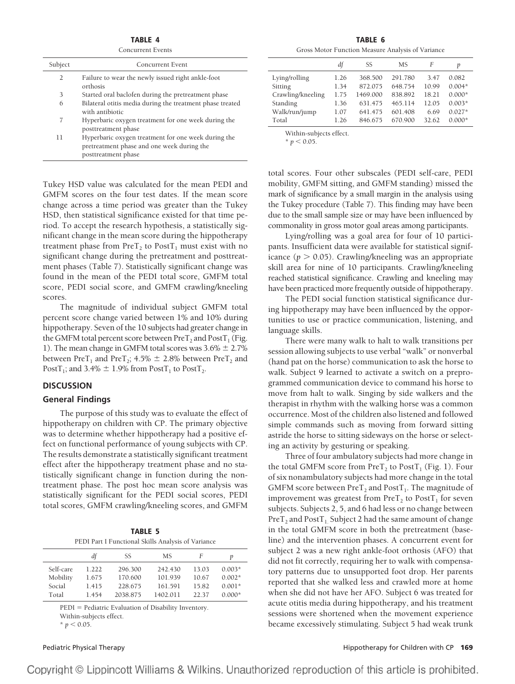**TABLE 4** Concurrent Events

|         | COMUNICATE L'UNIS                                                                                                        |
|---------|--------------------------------------------------------------------------------------------------------------------------|
| Subject | Concurrent Event                                                                                                         |
| 2       | Failure to wear the newly issued right ankle-foot<br>orthosis                                                            |
| 3       | Started oral baclofen during the pretreatment phase                                                                      |
| 6       | Bilateral otitis media during the treatment phase treated<br>with antibiotic                                             |
| 7       | Hyperbaric oxygen treatment for one week during the<br>posttreatment phase                                               |
| 11      | Hyperbaric oxygen treatment for one week during the<br>pretreatment phase and one week during the<br>posttreatment phase |

Tukey HSD value was calculated for the mean PEDI and GMFM scores on the four test dates. If the mean score change across a time period was greater than the Tukey HSD, then statistical significance existed for that time period. To accept the research hypothesis, a statistically significant change in the mean score during the hippotherapy treatment phase from  $PreT_2$  to  $PostT_1$  must exist with no significant change during the pretreatment and posttreatment phases (Table 7). Statistically significant change was found in the mean of the PEDI total score, GMFM total score, PEDI social score, and GMFM crawling/kneeling scores.

The magnitude of individual subject GMFM total percent score change varied between 1% and 10% during hippotherapy. Seven of the 10 subjects had greater change in the GMFM total percent score between  $PreT_2$  and  $PostT_1$  (Fig. 1). The mean change in GMFM total scores was  $3.6\% \pm 2.7\%$ between PreT<sub>1</sub> and PreT<sub>2</sub>; 4.5%  $\pm$  2.8% between PreT<sub>2</sub> and PostT<sub>1</sub>; and 3.4%  $\pm$  1.9% from PostT<sub>1</sub> to PostT<sub>2</sub>.

# **DISCUSSION**

#### **General Findings**

The purpose of this study was to evaluate the effect of hippotherapy on children with CP. The primary objective was to determine whether hippotherapy had a positive effect on functional performance of young subjects with CP. The results demonstrate a statistically significant treatment effect after the hippotherapy treatment phase and no statistically significant change in function during the nontreatment phase. The post hoc mean score analysis was statistically significant for the PEDI social scores, PEDI total scores, GMFM crawling/kneeling scores, and GMFM

| TABLE 5                                            |
|----------------------------------------------------|
| PEDI Part I Functional Skills Analysis of Variance |

|           | df    | SS       | МS       | F     |          |
|-----------|-------|----------|----------|-------|----------|
| Self-care | 1.222 | 296.300  | 242.430  | 13.03 | $0.003*$ |
| Mobility  | 1.675 | 170.600  | 101.939  | 10.67 | $0.002*$ |
| Social    | 1.415 | 228.675  | 161.591  | 15.82 | $0.001*$ |
| Total     | 1454  | 2038.875 | 1402.011 | 22.37 | $0.000*$ |

PEDI = Pediatric Evaluation of Disability Inventory. Within-subjects effect.

 $* p < 0.05$ .

**TABLE 6** Gross Motor Function Measure Analysis of Variance

|                   | df   | SS       | MS.     | F     | p        |
|-------------------|------|----------|---------|-------|----------|
| Lying/rolling     | 1.26 | 368.500  | 291.780 | 3.47  | 0.082    |
| Sitting           | 1.34 | 872.075  | 648.754 | 10.99 | $0.004*$ |
| Crawling/kneeling | 1.75 | 1469.000 | 838.892 | 18.21 | $0.000*$ |
| Standing          | 1.36 | 631.475  | 465.114 | 12.05 | $0.003*$ |
| Walk/run/jump     | 1.07 | 641.475  | 601.408 | 6.69  | $0.027*$ |
| Total             | 1.26 | 846.675  | 670.900 | 32.62 | $0.000*$ |
|                   |      |          |         |       |          |

Within-subjects effect.

 $* p < 0.05$ .

total scores. Four other subscales (PEDI self-care, PEDI mobility, GMFM sitting, and GMFM standing) missed the mark of significance by a small margin in the analysis using the Tukey procedure (Table 7). This finding may have been due to the small sample size or may have been influenced by commonality in gross motor goal areas among participants.

Lying/rolling was a goal area for four of 10 participants. Insufficient data were available for statistical significance  $(p > 0.05)$ . Crawling/kneeling was an appropriate skill area for nine of 10 participants. Crawling/kneeling reached statistical significance. Crawling and kneeling may have been practiced more frequently outside of hippotherapy.

The PEDI social function statistical significance during hippotherapy may have been influenced by the opportunities to use or practice communication, listening, and language skills.

There were many walk to halt to walk transitions per session allowing subjects to use verbal "walk" or nonverbal (hand pat on the horse) communication to ask the horse to walk. Subject 9 learned to activate a switch on a preprogrammed communication device to command his horse to move from halt to walk. Singing by side walkers and the therapist in rhythm with the walking horse was a common occurrence. Most of the children also listened and followed simple commands such as moving from forward sitting astride the horse to sitting sideways on the horse or selecting an activity by gesturing or speaking.

Three of four ambulatory subjects had more change in the total GMFM score from  $PreT_2$  to  $PostT_1$  (Fig. 1). Four of six nonambulatory subjects had more change in the total GMFM score between  $\text{PreT}_2$  and  $\text{PostT}_1$ . The magnitude of improvement was greatest from  $PreT_2$  to  $PostT_1$  for seven subjects. Subjects 2, 5, and 6 had less or no change between  $PreT<sub>2</sub>$  and PostT<sub>1</sub>. Subject 2 had the same amount of change in the total GMFM score in both the pretreatment (baseline) and the intervention phases. A concurrent event for subject 2 was a new right ankle-foot orthosis (AFO) that did not fit correctly, requiring her to walk with compensatory patterns due to unsupported foot drop. Her parents reported that she walked less and crawled more at home when she did not have her AFO. Subject 6 was treated for acute otitis media during hippotherapy, and his treatment sessions were shortened when the movement experience became excessively stimulating. Subject 5 had weak trunk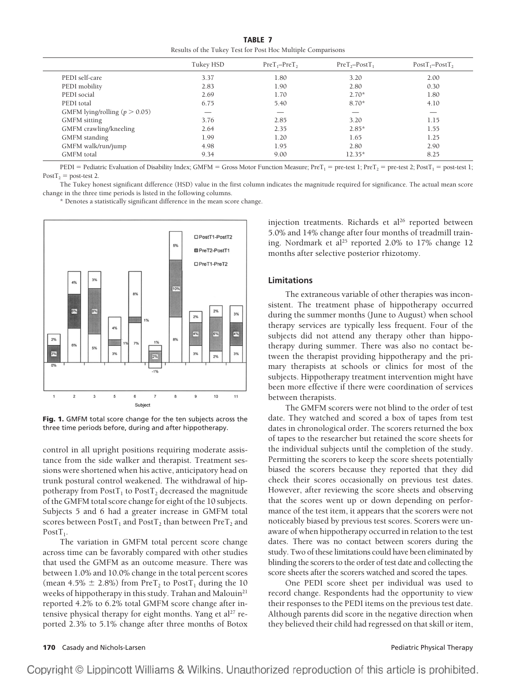**TABLE 7** Results of the Tukey Test for Post Hoc Multiple Comparisons

|                                   | Tukey HSD | $PreT1-PreT2$ | $PreT2 - PostT1$ | $PostT_1 - PostT_2$ |
|-----------------------------------|-----------|---------------|------------------|---------------------|
| PEDI self-care                    | 3.37      | 1.80          | 3.20             | 2.00                |
| PEDI mobility                     | 2.83      | 1.90          | 2.80             | 0.30                |
| PEDI social                       | 2.69      | 1.70          | $2.70*$          | 1.80                |
| PEDI total                        | 6.75      | 5.40          | $8.70*$          | 4.10                |
| GMFM lying/rolling ( $p > 0.05$ ) |           |               | __               |                     |
| <b>GMFM</b> sitting               | 3.76      | 2.85          | 3.20             | 1.15                |
| GMFM crawling/kneeling            | 2.64      | 2.35          | $2.85*$          | 1.55                |
| <b>GMFM</b> standing              | 1.99      | 1.20          | 1.65             | 1.25                |
| GMFM walk/run/jump                | 4.98      | 1.95          | 2.80             | 2.90                |
| <b>GMFM</b> total                 | 9.34      | 9.00          | $12.35*$         | 8.25                |

PEDI = Pediatric Evaluation of Disability Index; GMFM = Gross Motor Function Measure; Pre $T_1$  = pre-test 1; Pre $T_2$  = pre-test 2; Post $T_1$  = post-test 1; Post $T_2$  = post-test 2.

The Tukey honest significant difference (HSD) value in the first column indicates the magnitude required for significance. The actual mean score change in the three time periods is listed in the following columns.

\* Denotes a statistically significant difference in the mean score change.



**Fig. 1.** GMFM total score change for the ten subjects across the three time periods before, during and after hippotherapy.

control in all upright positions requiring moderate assistance from the side walker and therapist. Treatment sessions were shortened when his active, anticipatory head on trunk postural control weakened. The withdrawal of hippotherapy from Post $T_1$  to Post $T_2$  decreased the magnitude of the GMFM total score change for eight of the 10 subjects. Subjects 5 and 6 had a greater increase in GMFM total scores between  $PostT_1$  and  $PostT_2$  than between  $PreT_2$  and Post $T_1$ .

The variation in GMFM total percent score change across time can be favorably compared with other studies that used the GMFM as an outcome measure. There was between 1.0% and 10.0% change in the total percent scores (mean 4.5%  $\pm$  2.8%) from PreT<sub>2</sub> to PostT<sub>1</sub> during the 10 weeks of hippotherapy in this study. Trahan and Malouin<sup>21</sup> reported 4.2% to 6.2% total GMFM score change after intensive physical therapy for eight months. Yang et al<sup>27</sup> reported 2.3% to 5.1% change after three months of Botox injection treatments. Richards et al<sup>26</sup> reported between 5.0% and 14% change after four months of treadmill training. Nordmark et al<sup>25</sup> reported 2.0% to 17% change 12 months after selective posterior rhizotomy.

#### **Limitations**

The extraneous variable of other therapies was inconsistent. The treatment phase of hippotherapy occurred during the summer months (June to August) when school therapy services are typically less frequent. Four of the subjects did not attend any therapy other than hippotherapy during summer. There was also no contact between the therapist providing hippotherapy and the primary therapists at schools or clinics for most of the subjects. Hippotherapy treatment intervention might have been more effective if there were coordination of services between therapists.

The GMFM scorers were not blind to the order of test date. They watched and scored a box of tapes from test dates in chronological order. The scorers returned the box of tapes to the researcher but retained the score sheets for the individual subjects until the completion of the study. Permitting the scorers to keep the score sheets potentially biased the scorers because they reported that they did check their scores occasionally on previous test dates. However, after reviewing the score sheets and observing that the scores went up or down depending on performance of the test item, it appears that the scorers were not noticeably biased by previous test scores. Scorers were unaware of when hippotherapy occurred in relation to the test dates. There was no contact between scorers during the study. Two of these limitations could have been eliminated by blinding the scorers to the order of test date and collecting the score sheets after the scorers watched and scored the tapes.

One PEDI score sheet per individual was used to record change. Respondents had the opportunity to view their responses to the PEDI items on the previous test date. Although parents did score in the negative direction when they believed their child had regressed on that skill or item,

#### **170** Casady and Nichols-Larsen **Pediatric Physical Therapy** Pediatric Physical Therapy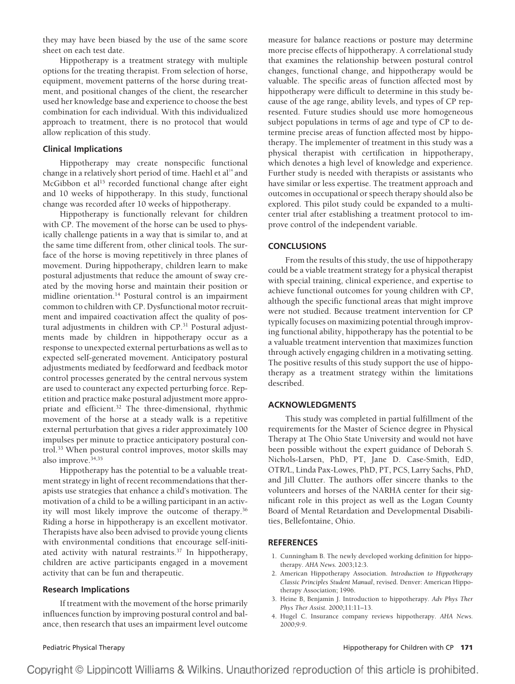they may have been biased by the use of the same score sheet on each test date.

Hippotherapy is a treatment strategy with multiple options for the treating therapist. From selection of horse, equipment, movement patterns of the horse during treatment, and positional changes of the client, the researcher used her knowledge base and experience to choose the best combination for each individual. With this individualized approach to treatment, there is no protocol that would allow replication of this study.

# **Clinical Implications**

Hippotherapy may create nonspecific functional change in a relatively short period of time. Haehl et al<sup>14</sup> and McGibbon et al<sup>15</sup> recorded functional change after eight and 10 weeks of hippotherapy. In this study, functional change was recorded after 10 weeks of hippotherapy.

Hippotherapy is functionally relevant for children with CP. The movement of the horse can be used to physically challenge patients in a way that is similar to, and at the same time different from, other clinical tools. The surface of the horse is moving repetitively in three planes of movement. During hippotherapy, children learn to make postural adjustments that reduce the amount of sway created by the moving horse and maintain their position or midline orientation.14 Postural control is an impairment common to children with CP. Dysfunctional motor recruitment and impaired coactivation affect the quality of postural adjustments in children with CP.<sup>31</sup> Postural adjustments made by children in hippotherapy occur as a response to unexpected external perturbations as well as to expected self-generated movement. Anticipatory postural adjustments mediated by feedforward and feedback motor control processes generated by the central nervous system are used to counteract any expected perturbing force. Repetition and practice make postural adjustment more appropriate and efficient.32 The three-dimensional, rhythmic movement of the horse at a steady walk is a repetitive external perturbation that gives a rider approximately 100 impulses per minute to practice anticipatory postural control.33 When postural control improves, motor skills may also improve.<sup>34,35</sup>

Hippotherapy has the potential to be a valuable treatment strategy in light of recent recommendations that therapists use strategies that enhance a child's motivation. The motivation of a child to be a willing participant in an activity will most likely improve the outcome of therapy.<sup>36</sup> Riding a horse in hippotherapy is an excellent motivator. Therapists have also been advised to provide young clients with environmental conditions that encourage self-initiated activity with natural restraints. $37$  In hippotherapy, children are active participants engaged in a movement activity that can be fun and therapeutic.

#### **Research Implications**

If treatment with the movement of the horse primarily influences function by improving postural control and balance, then research that uses an impairment level outcome

measure for balance reactions or posture may determine more precise effects of hippotherapy. A correlational study that examines the relationship between postural control changes, functional change, and hippotherapy would be valuable. The specific areas of function affected most by hippotherapy were difficult to determine in this study because of the age range, ability levels, and types of CP represented. Future studies should use more homogeneous subject populations in terms of age and type of CP to determine precise areas of function affected most by hippotherapy. The implementer of treatment in this study was a physical therapist with certification in hippotherapy, which denotes a high level of knowledge and experience. Further study is needed with therapists or assistants who have similar or less expertise. The treatment approach and outcomes in occupational or speech therapy should also be explored. This pilot study could be expanded to a multicenter trial after establishing a treatment protocol to improve control of the independent variable.

#### **CONCLUSIONS**

From the results of this study, the use of hippotherapy could be a viable treatment strategy for a physical therapist with special training, clinical experience, and expertise to achieve functional outcomes for young children with CP, although the specific functional areas that might improve were not studied. Because treatment intervention for CP typically focuses on maximizing potential through improving functional ability, hippotherapy has the potential to be a valuable treatment intervention that maximizes function through actively engaging children in a motivating setting. The positive results of this study support the use of hippotherapy as a treatment strategy within the limitations described.

#### **ACKNOWLEDGMENTS**

This study was completed in partial fulfillment of the requirements for the Master of Science degree in Physical Therapy at The Ohio State University and would not have been possible without the expert guidance of Deborah S. Nichols-Larsen, PhD, PT, Jane D. Case-Smith, EdD, OTR/L, Linda Pax-Lowes, PhD, PT, PCS, Larry Sachs, PhD, and Jill Clutter. The authors offer sincere thanks to the volunteers and horses of the NARHA center for their significant role in this project as well as the Logan County Board of Mental Retardation and Developmental Disabilities, Bellefontaine, Ohio.

#### **REFERENCES**

- 1. Cunningham B. The newly developed working definition for hippotherapy. *AHA News.* 2003;12:3.
- 2. American Hippotherapy Association. *Introduction to Hippotherapy Classic Principles Student Manual*, revised. Denver: American Hippotherapy Association; 1996.
- 3. Heine B, Benjamin J. Introduction to hippotherapy. *Adv Phys Ther Phys Ther Assist.* 2000;11:11–13.
- 4. Hugel C. Insurance company reviews hippotherapy. *AHA News.* 2000;9:9.

Copyright © Lippincott Williams & Wilkins. Unauthorized reproduction of this article is prohibited.